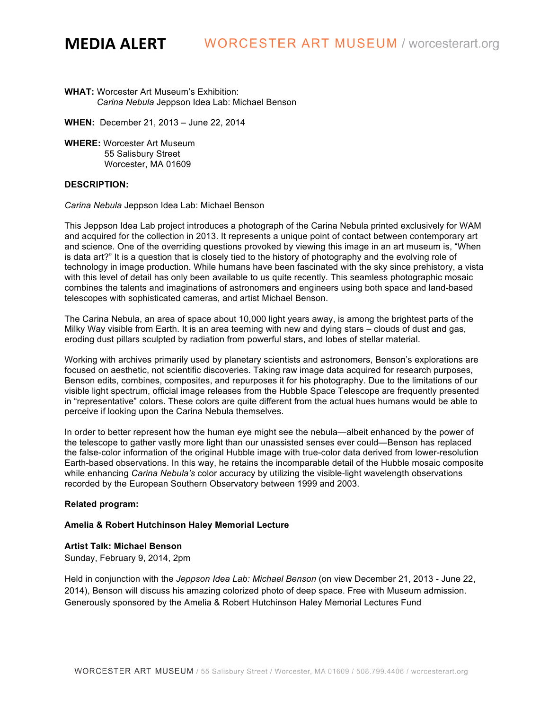**WHAT:** Worcester Art Museum's Exhibition: *Carina Nebula* Jeppson Idea Lab: Michael Benson

**WHEN:** December 21, 2013 – June 22, 2014

**WHERE:** Worcester Art Museum 55 Salisbury Street Worcester, MA 01609

#### **DESCRIPTION:**

*Carina Nebula* Jeppson Idea Lab: Michael Benson

This Jeppson Idea Lab project introduces a photograph of the Carina Nebula printed exclusively for WAM and acquired for the collection in 2013. It represents a unique point of contact between contemporary art and science. One of the overriding questions provoked by viewing this image in an art museum is, "When is data art?" It is a question that is closely tied to the history of photography and the evolving role of technology in image production. While humans have been fascinated with the sky since prehistory, a vista with this level of detail has only been available to us quite recently. This seamless photographic mosaic combines the talents and imaginations of astronomers and engineers using both space and land-based telescopes with sophisticated cameras, and artist Michael Benson.

The Carina Nebula, an area of space about 10,000 light years away, is among the brightest parts of the Milky Way visible from Earth. It is an area teeming with new and dying stars – clouds of dust and gas, eroding dust pillars sculpted by radiation from powerful stars, and lobes of stellar material.

Working with archives primarily used by planetary scientists and astronomers, Benson's explorations are focused on aesthetic, not scientific discoveries. Taking raw image data acquired for research purposes, Benson edits, combines, composites, and repurposes it for his photography. Due to the limitations of our visible light spectrum, official image releases from the Hubble Space Telescope are frequently presented in "representative" colors. These colors are quite different from the actual hues humans would be able to perceive if looking upon the Carina Nebula themselves.

In order to better represent how the human eye might see the nebula—albeit enhanced by the power of the telescope to gather vastly more light than our unassisted senses ever could—Benson has replaced the false-color information of the original Hubble image with true-color data derived from lower-resolution Earth-based observations. In this way, he retains the incomparable detail of the Hubble mosaic composite while enhancing *Carina Nebula's* color accuracy by utilizing the visible-light wavelength observations recorded by the European Southern Observatory between 1999 and 2003.

### **Related program:**

## **Amelia & Robert Hutchinson Haley Memorial Lecture**

#### **Artist Talk: Michael Benson**

Sunday, February 9, 2014, 2pm

Held in conjunction with the *Jeppson Idea Lab: Michael Benson* (on view December 21, 2013 - June 22, 2014), Benson will discuss his amazing colorized photo of deep space. Free with Museum admission. Generously sponsored by the Amelia & Robert Hutchinson Haley Memorial Lectures Fund